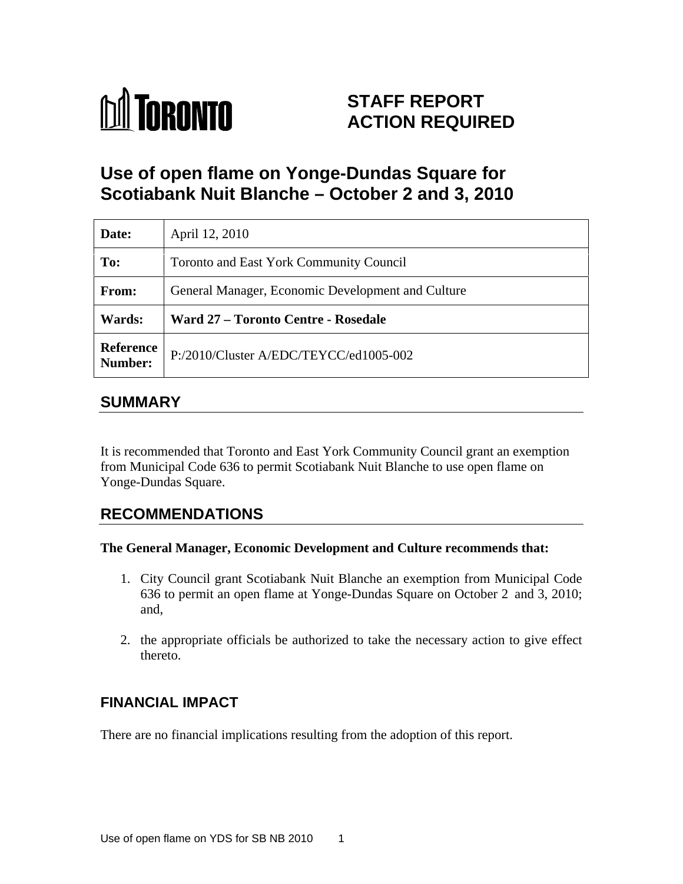

# **STAFF REPORT ACTION REQUIRED**

# **Use of open flame on Yonge-Dundas Square for Scotiabank Nuit Blanche – October 2 and 3, 2010**

| Date:                | April 12, 2010                                    |
|----------------------|---------------------------------------------------|
| To:                  | Toronto and East York Community Council           |
| From:                | General Manager, Economic Development and Culture |
| Wards:               | <b>Ward 27 - Toronto Centre - Rosedale</b>        |
| Reference<br>Number: | $\vert$ P:/2010/Cluster A/EDC/TEYCC/ed1005-002    |

# **SUMMARY**

It is recommended that Toronto and East York Community Council grant an exemption from Municipal Code 636 to permit Scotiabank Nuit Blanche to use open flame on Yonge-Dundas Square.

# **RECOMMENDATIONS**

#### **The General Manager, Economic Development and Culture recommends that:**

- 1. City Council grant Scotiabank Nuit Blanche an exemption from Municipal Code 636 to permit an open flame at Yonge-Dundas Square on October 2 and 3, 2010; and,
- 2. the appropriate officials be authorized to take the necessary action to give effect thereto.

# **FINANCIAL IMPACT**

There are no financial implications resulting from the adoption of this report.